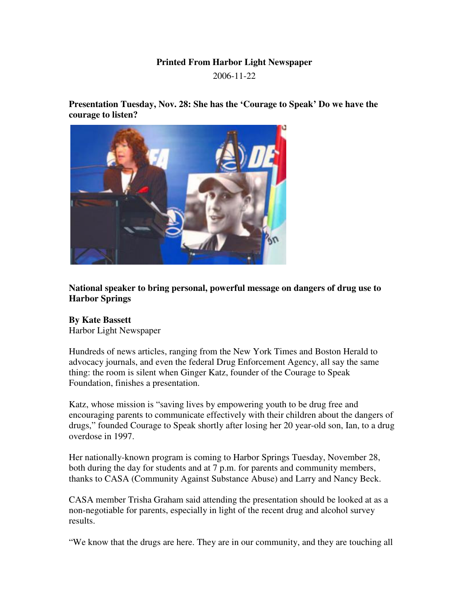## **Printed From Harbor Light Newspaper**

2006-11-22

**Presentation Tuesday, Nov. 28: She has the 'Courage to Speak' Do we have the courage to listen?**



**National speaker to bring personal, powerful message on dangers of drug use to Harbor Springs**

## **By Kate Bassett**

Harbor Light Newspaper

Hundreds of news articles, ranging from the New York Times and Boston Herald to advocacy journals, and even the federal Drug Enforcement Agency, all say the same thing: the room is silent when Ginger Katz, founder of the Courage to Speak Foundation, finishes a presentation.

Katz, whose mission is "saving lives by empowering youth to be drug free and encouraging parents to communicate effectively with their children about the dangers of drugs," founded Courage to Speak shortly after losing her 20 year-old son, Ian, to a drug overdose in 1997.

Her nationally-known program is coming to Harbor Springs Tuesday, November 28, both during the day for students and at 7 p.m. for parents and community members, thanks to CASA (Community Against Substance Abuse) and Larry and Nancy Beck.

CASA member Trisha Graham said attending the presentation should be looked at as a non-negotiable for parents, especially in light of the recent drug and alcohol survey results.

"We know that the drugs are here. They are in our community, and they are touching all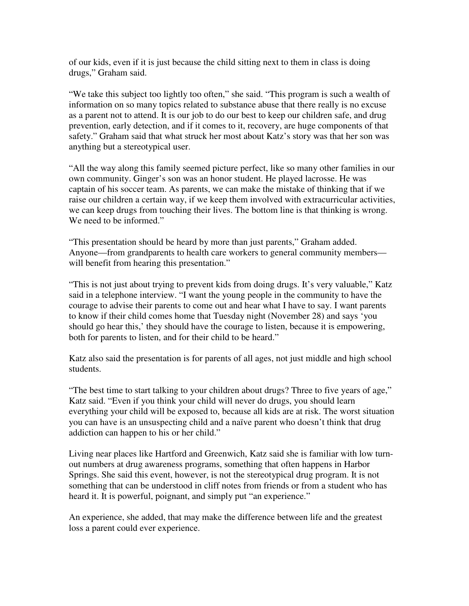of our kids, even if it is just because the child sitting next to them in class is doing drugs," Graham said.

"We take this subject too lightly too often," she said. "This program is such a wealth of information on so many topics related to substance abuse that there really is no excuse as a parent not to attend. It is our job to do our best to keep our children safe, and drug prevention, early detection, and if it comes to it, recovery, are huge components of that safety." Graham said that what struck her most about Katz's story was that her son was anything but a stereotypical user.

"All the way along this family seemed picture perfect, like so many other families in our own community. Ginger's son was an honor student. He played lacrosse. He was captain of his soccer team. As parents, we can make the mistake of thinking that if we raise our children a certain way, if we keep them involved with extracurricular activities, we can keep drugs from touching their lives. The bottom line is that thinking is wrong. We need to be informed."

"This presentation should be heard by more than just parents," Graham added. Anyone—from grandparents to health care workers to general community members will benefit from hearing this presentation."

"This is not just about trying to prevent kids from doing drugs. It's very valuable," Katz said in a telephone interview. "I want the young people in the community to have the courage to advise their parents to come out and hear what I have to say. I want parents to know if their child comes home that Tuesday night (November 28) and says 'you should go hear this,' they should have the courage to listen, because it is empowering, both for parents to listen, and for their child to be heard."

Katz also said the presentation is for parents of all ages, not just middle and high school students.

"The best time to start talking to your children about drugs? Three to five years of age," Katz said. "Even if you think your child will never do drugs, you should learn everything your child will be exposed to, because all kids are at risk. The worst situation you can have is an unsuspecting child and a naïve parent who doesn't think that drug addiction can happen to his or her child."

Living near places like Hartford and Greenwich, Katz said she is familiar with low turnout numbers at drug awareness programs, something that often happens in Harbor Springs. She said this event, however, is not the stereotypical drug program. It is not something that can be understood in cliff notes from friends or from a student who has heard it. It is powerful, poignant, and simply put "an experience."

An experience, she added, that may make the difference between life and the greatest loss a parent could ever experience.